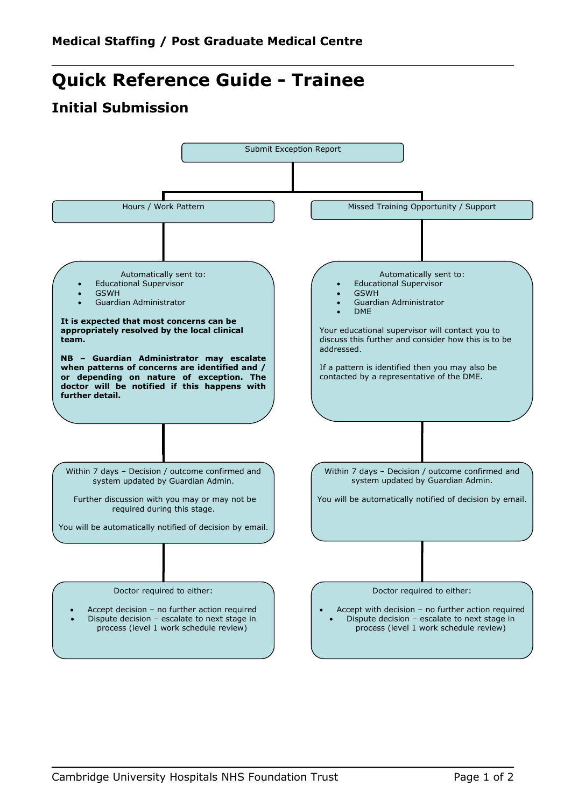## **Quick Reference Guide - Trainee**

## **Initial Submission**